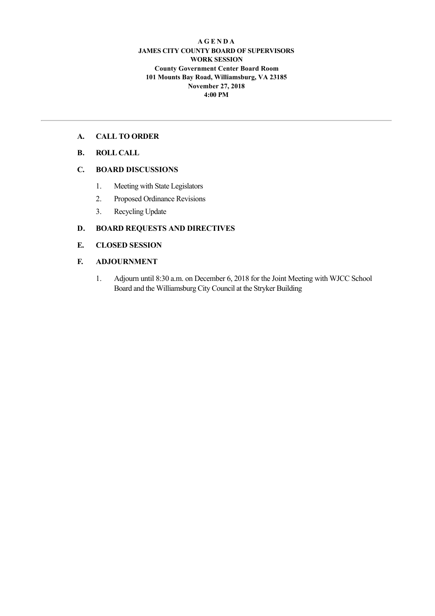#### **A G E N D A JAMES CITY COUNTY BOARD OF SUPERVISORS WORK SESSION County Government Center Board Room 101 Mounts Bay Road, Williamsburg, VA 23185 November 27, 2018 4:00 PM**

#### **A. CALL TO ORDER**

#### **B. ROLL CALL**

#### **C. BOARD DISCUSSIONS**

- 1. Meeting with State Legislators
- 2. Proposed Ordinance Revisions
- 3. Recycling Update

#### **D. BOARD REQUESTS AND DIRECTIVES**

#### **E. CLOSED SESSION**

#### **F. ADJOURNMENT**

1. Adjourn until 8:30 a.m. on December 6, 2018 for the Joint Meeting with WJCC School Board and the Williamsburg City Council at the Stryker Building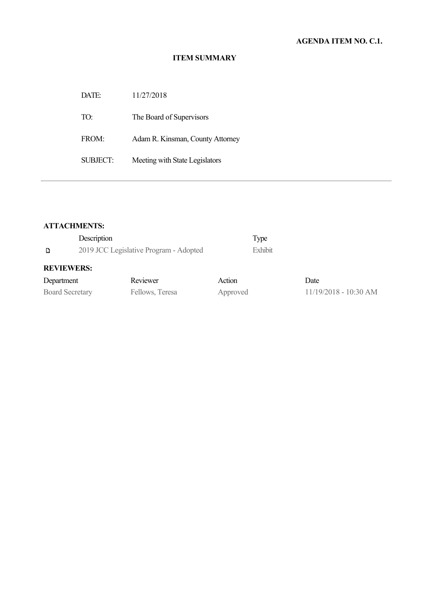#### **ITEM SUMMARY**

| 11/27/2018                       |
|----------------------------------|
| The Board of Supervisors         |
| Adam R. Kinsman, County Attorney |
| Meeting with State Legislators   |
|                                  |

#### **ATTACHMENTS:**

|                        | Description |                                        |          | Type    |                         |
|------------------------|-------------|----------------------------------------|----------|---------|-------------------------|
| D                      |             | 2019 JCC Legislative Program - Adopted |          | Exhibit |                         |
| <b>REVIEWERS:</b>      |             |                                        |          |         |                         |
| Department             |             | Reviewer                               | Action   |         | Date                    |
| <b>Board Secretary</b> |             | Fellows, Teresa                        | Approved |         | $11/19/2018 - 10:30$ AM |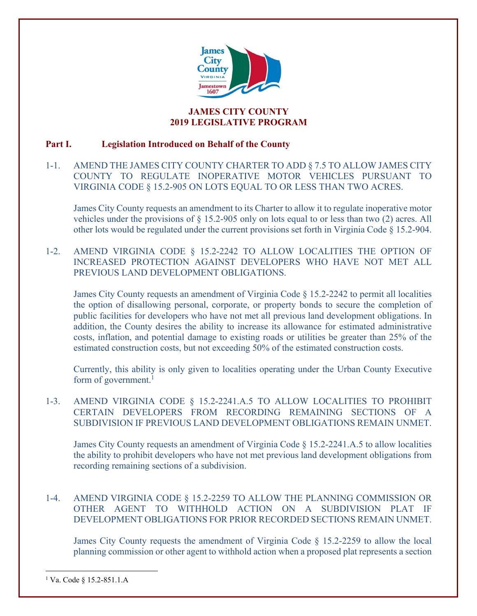

#### **JAMES CITY COUNTY 2019 LEGISLATIVE PROGRAM**

#### **Part I. Legislation Introduced on Behalf of the County**

1-1. AMEND THE JAMES CITY COUNTY CHARTER TO ADD § 7.5 TO ALLOW JAMES CITY COUNTY TO REGULATE INOPERATIVE MOTOR VEHICLES PURSUANT TO VIRGINIA CODE § 15.2-905 ON LOTS EQUAL TO OR LESS THAN TWO ACRES.

James City County requests an amendment to its Charter to allow it to regulate inoperative motor vehicles under the provisions of § 15.2-905 only on lots equal to or less than two (2) acres. All other lots would be regulated under the current provisions set forth in Virginia Code § 15.2-904.

1-2. AMEND VIRGINIA CODE § 15.2-2242 TO ALLOW LOCALITIES THE OPTION OF INCREASED PROTECTION AGAINST DEVELOPERS WHO HAVE NOT MET ALL PREVIOUS LAND DEVELOPMENT OBLIGATIONS.

James City County requests an amendment of Virginia Code § 15.2-2242 to permit all localities the option of disallowing personal, corporate, or property bonds to secure the completion of public facilities for developers who have not met all previous land development obligations. In addition, the County desires the ability to increase its allowance for estimated administrative costs, inflation, and potential damage to existing roads or utilities be greater than 25% of the estimated construction costs, but not exceeding 50% of the estimated construction costs.

Currently, this ability is only given to localities operating under the Urban County Executive form of government.<sup>1</sup>

1-3. AMEND VIRGINIA CODE § 15.2-2241.A.5 TO ALLOW LOCALITIES TO PROHIBIT CERTAIN DEVELOPERS FROM RECORDING REMAINING SECTIONS OF A SUBDIVISION IF PREVIOUS LAND DEVELOPMENT OBLIGATIONS REMAIN UNMET.

 James City County requests an amendment of Virginia Code § 15.2-2241.A.5 to allow localities the ability to prohibit developers who have not met previous land development obligations from recording remaining sections of a subdivision.

#### 1-4. AMEND VIRGINIA CODE § 15.2-2259 TO ALLOW THE PLANNING COMMISSION OR OTHER AGENT TO WITHHOLD ACTION ON A SUBDIVISION PLAT IF DEVELOPMENT OBLIGATIONS FOR PRIOR RECORDED SECTIONS REMAIN UNMET.

 James City County requests the amendment of Virginia Code § 15.2-2259 to allow the local planning commission or other agent to withhold action when a proposed plat represents a section

<u>.</u>

<sup>&</sup>lt;sup>1</sup> Va. Code § 15.2-851.1.A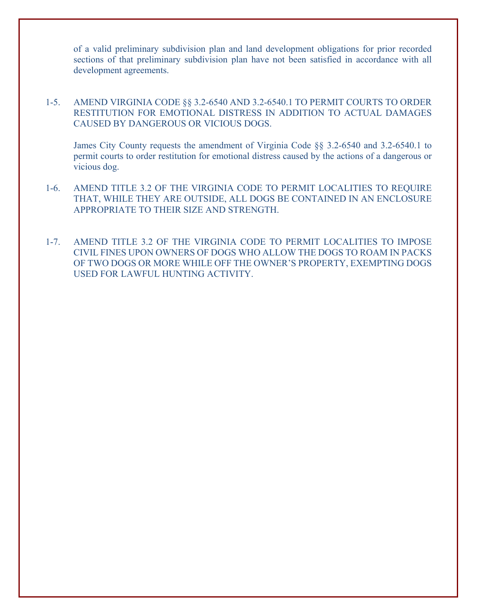of a valid preliminary subdivision plan and land development obligations for prior recorded sections of that preliminary subdivision plan have not been satisfied in accordance with all development agreements.

1-5. AMEND VIRGINIA CODE §§ 3.2-6540 AND 3.2-6540.1 TO PERMIT COURTS TO ORDER RESTITUTION FOR EMOTIONAL DISTRESS IN ADDITION TO ACTUAL DAMAGES CAUSED BY DANGEROUS OR VICIOUS DOGS.

James City County requests the amendment of Virginia Code §§ 3.2-6540 and 3.2-6540.1 to permit courts to order restitution for emotional distress caused by the actions of a dangerous or vicious dog.

- 1-6. AMEND TITLE 3.2 OF THE VIRGINIA CODE TO PERMIT LOCALITIES TO REQUIRE THAT, WHILE THEY ARE OUTSIDE, ALL DOGS BE CONTAINED IN AN ENCLOSURE APPROPRIATE TO THEIR SIZE AND STRENGTH.
- 1-7. AMEND TITLE 3.2 OF THE VIRGINIA CODE TO PERMIT LOCALITIES TO IMPOSE CIVIL FINES UPON OWNERS OF DOGS WHO ALLOW THE DOGS TO ROAM IN PACKS OF TWO DOGS OR MORE WHILE OFF THE OWNER'S PROPERTY, EXEMPTING DOGS USED FOR LAWFUL HUNTING ACTIVITY.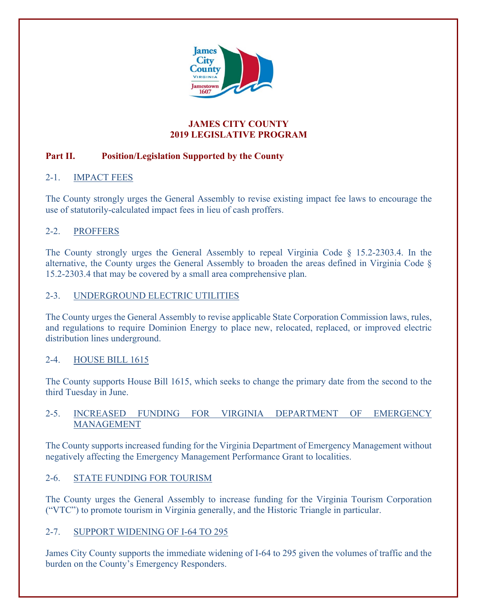

#### **JAMES CITY COUNTY 2019 LEGISLATIVE PROGRAM**

#### **Part II. Position/Legislation Supported by the County**

#### 2-1. IMPACT FEES

The County strongly urges the General Assembly to revise existing impact fee laws to encourage the use of statutorily-calculated impact fees in lieu of cash proffers.

#### 2-2. PROFFERS

The County strongly urges the General Assembly to repeal Virginia Code § 15.2-2303.4. In the alternative, the County urges the General Assembly to broaden the areas defined in Virginia Code § 15.2-2303.4 that may be covered by a small area comprehensive plan.

#### 2-3. UNDERGROUND ELECTRIC UTILITIES

The County urges the General Assembly to revise applicable State Corporation Commission laws, rules, and regulations to require Dominion Energy to place new, relocated, replaced, or improved electric distribution lines underground.

#### 2-4. HOUSE BILL 1615

The County supports House Bill 1615, which seeks to change the primary date from the second to the third Tuesday in June.

#### 2-5. INCREASED FUNDING FOR VIRGINIA DEPARTMENT OF EMERGENCY MANAGEMENT

The County supports increased funding for the Virginia Department of Emergency Management without negatively affecting the Emergency Management Performance Grant to localities.

#### 2-6. STATE FUNDING FOR TOURISM

The County urges the General Assembly to increase funding for the Virginia Tourism Corporation ("VTC") to promote tourism in Virginia generally, and the Historic Triangle in particular.

#### 2-7. SUPPORT WIDENING OF I-64 TO 295

James City County supports the immediate widening of I-64 to 295 given the volumes of traffic and the burden on the County's Emergency Responders.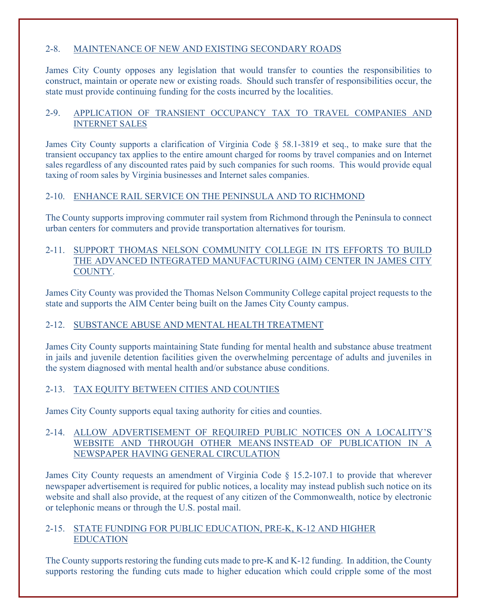#### 2-8. MAINTENANCE OF NEW AND EXISTING SECONDARY ROADS

James City County opposes any legislation that would transfer to counties the responsibilities to construct, maintain or operate new or existing roads. Should such transfer of responsibilities occur, the state must provide continuing funding for the costs incurred by the localities.

#### 2-9. APPLICATION OF TRANSIENT OCCUPANCY TAX TO TRAVEL COMPANIES AND INTERNET SALES

James City County supports a clarification of Virginia Code § 58.1-3819 et seq., to make sure that the transient occupancy tax applies to the entire amount charged for rooms by travel companies and on Internet sales regardless of any discounted rates paid by such companies for such rooms. This would provide equal taxing of room sales by Virginia businesses and Internet sales companies.

#### 2-10. ENHANCE RAIL SERVICE ON THE PENINSULA AND TO RICHMOND

The County supports improving commuter rail system from Richmond through the Peninsula to connect urban centers for commuters and provide transportation alternatives for tourism.

#### 2-11. SUPPORT THOMAS NELSON COMMUNITY COLLEGE IN ITS EFFORTS TO BUILD THE ADVANCED INTEGRATED MANUFACTURING (AIM) CENTER IN JAMES CITY COUNTY.

James City County was provided the Thomas Nelson Community College capital project requests to the state and supports the AIM Center being built on the James City County campus.

#### 2-12. SUBSTANCE ABUSE AND MENTAL HEALTH TREATMENT

James City County supports maintaining State funding for mental health and substance abuse treatment in jails and juvenile detention facilities given the overwhelming percentage of adults and juveniles in the system diagnosed with mental health and/or substance abuse conditions.

#### 2-13. TAX EQUITY BETWEEN CITIES AND COUNTIES

James City County supports equal taxing authority for cities and counties.

#### 2-14. ALLOW ADVERTISEMENT OF REQUIRED PUBLIC NOTICES ON A LOCALITY'S WEBSITE AND THROUGH OTHER MEANS INSTEAD OF PUBLICATION IN A NEWSPAPER HAVING GENERAL CIRCULATION

James City County requests an amendment of Virginia Code § 15.2-107.1 to provide that wherever newspaper advertisement is required for public notices, a locality may instead publish such notice on its website and shall also provide, at the request of any citizen of the Commonwealth, notice by electronic or telephonic means or through the U.S. postal mail.

#### 2-15. STATE FUNDING FOR PUBLIC EDUCATION, PRE-K, K-12 AND HIGHER EDUCATION

The County supports restoring the funding cuts made to pre-K and K-12 funding. In addition, the County supports restoring the funding cuts made to higher education which could cripple some of the most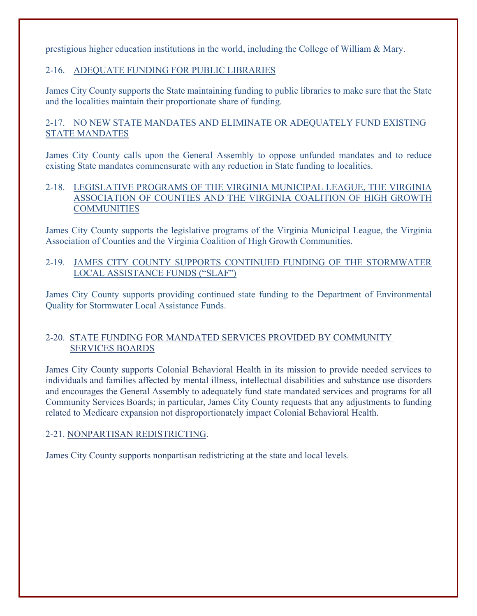prestigious higher education institutions in the world, including the College of William & Mary.

#### 2-16. ADEQUATE FUNDING FOR PUBLIC LIBRARIES

James City County supports the State maintaining funding to public libraries to make sure that the State and the localities maintain their proportionate share of funding.

#### 2-17. NO NEW STATE MANDATES AND ELIMINATE OR ADEQUATELY FUND EXISTING STATE MANDATES

James City County calls upon the General Assembly to oppose unfunded mandates and to reduce existing State mandates commensurate with any reduction in State funding to localities.

#### 2-18. LEGISLATIVE PROGRAMS OF THE VIRGINIA MUNICIPAL LEAGUE, THE VIRGINIA ASSOCIATION OF COUNTIES AND THE VIRGINIA COALITION OF HIGH GROWTH **COMMUNITIES**

James City County supports the legislative programs of the Virginia Municipal League, the Virginia Association of Counties and the Virginia Coalition of High Growth Communities.

#### 2-19. JAMES CITY COUNTY SUPPORTS CONTINUED FUNDING OF THE STORMWATER LOCAL ASSISTANCE FUNDS ("SLAF")

James City County supports providing continued state funding to the Department of Environmental Quality for Stormwater Local Assistance Funds.

#### 2-20. STATE FUNDING FOR MANDATED SERVICES PROVIDED BY COMMUNITY SERVICES BOARDS

James City County supports Colonial Behavioral Health in its mission to provide needed services to individuals and families affected by mental illness, intellectual disabilities and substance use disorders and encourages the General Assembly to adequately fund state mandated services and programs for all Community Services Boards; in particular, James City County requests that any adjustments to funding related to Medicare expansion not disproportionately impact Colonial Behavioral Health.

#### 2-21. NONPARTISAN REDISTRICTING.

James City County supports nonpartisan redistricting at the state and local levels.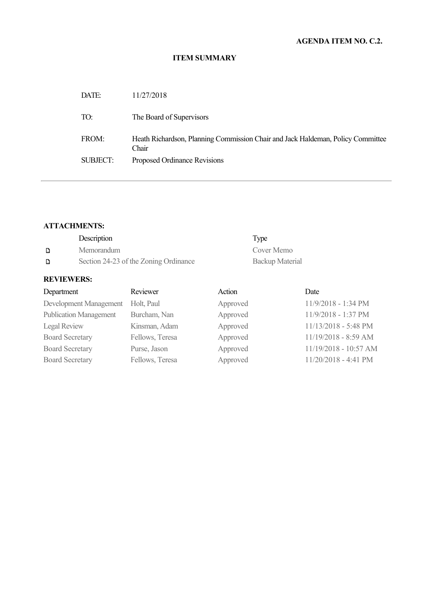#### **ITEM SUMMARY**

| DATE:           | 11/27/2018                                                                               |
|-----------------|------------------------------------------------------------------------------------------|
| TO:             | The Board of Supervisors                                                                 |
| FROM:           | Heath Richardson, Planning Commission Chair and Jack Haldeman, Policy Committee<br>Chair |
| <b>SUBJECT:</b> | Proposed Ordinance Revisions                                                             |

#### **ATTACHMENTS:**

|   | Description                           | Type            |
|---|---------------------------------------|-----------------|
| D | Memorandum                            | Cover Memo      |
| D | Section 24-23 of the Zoning Ordinance | Backup Material |

#### **REVIEWERS:**

| Department                    | Reviewer        | Action   | Date                   |
|-------------------------------|-----------------|----------|------------------------|
| Development Management        | Holt, Paul      | Approved | 11/9/2018 - 1:34 PM    |
| <b>Publication Management</b> | Burcham, Nan    | Approved | 11/9/2018 - 1:37 PM    |
| Legal Review                  | Kinsman, Adam   | Approved | 11/13/2018 - 5:48 PM   |
| <b>Board Secretary</b>        | Fellows, Teresa | Approved | 11/19/2018 - 8:59 AM   |
| <b>Board Secretary</b>        | Purse, Jason    | Approved | 11/19/2018 - 10:57 AM  |
| <b>Board Secretary</b>        | Fellows, Teresa | Approved | $11/20/2018 - 4:41$ PM |
|                               |                 |          |                        |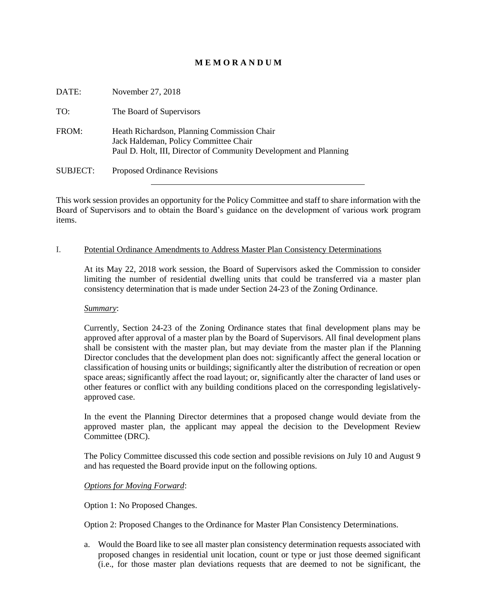#### **M E M O R A N D U M**

| DATE:           | November 27, 2018                                                                                                                                         |
|-----------------|-----------------------------------------------------------------------------------------------------------------------------------------------------------|
| TO:             | The Board of Supervisors                                                                                                                                  |
| FROM:           | Heath Richardson, Planning Commission Chair<br>Jack Haldeman, Policy Committee Chair<br>Paul D. Holt, III, Director of Community Development and Planning |
| <b>SUBJECT:</b> | Proposed Ordinance Revisions                                                                                                                              |

This work session provides an opportunity for the Policy Committee and staff to share information with the Board of Supervisors and to obtain the Board's guidance on the development of various work program items.

#### I. Potential Ordinance Amendments to Address Master Plan Consistency Determinations

At its May 22, 2018 work session, the Board of Supervisors asked the Commission to consider limiting the number of residential dwelling units that could be transferred via a master plan consistency determination that is made under Section 24-23 of the Zoning Ordinance.

#### *Summary*:

Currently, Section 24-23 of the Zoning Ordinance states that final development plans may be approved after approval of a master plan by the Board of Supervisors. All final development plans shall be consistent with the master plan, but may deviate from the master plan if the Planning Director concludes that the development plan does not: significantly affect the general location or classification of housing units or buildings; significantly alter the distribution of recreation or open space areas; significantly affect the road layout; or, significantly alter the character of land uses or other features or conflict with any building conditions placed on the corresponding legislativelyapproved case.

In the event the Planning Director determines that a proposed change would deviate from the approved master plan, the applicant may appeal the decision to the Development Review Committee (DRC).

The Policy Committee discussed this code section and possible revisions on July 10 and August 9 and has requested the Board provide input on the following options.

#### *Options for Moving Forward*:

Option 1: No Proposed Changes.

Option 2: Proposed Changes to the Ordinance for Master Plan Consistency Determinations.

a. Would the Board like to see all master plan consistency determination requests associated with proposed changes in residential unit location, count or type or just those deemed significant (i.e., for those master plan deviations requests that are deemed to not be significant, the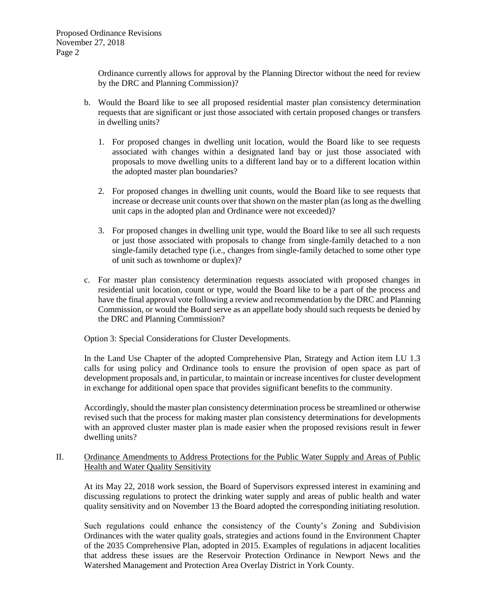Ordinance currently allows for approval by the Planning Director without the need for review by the DRC and Planning Commission)?

- b. Would the Board like to see all proposed residential master plan consistency determination requests that are significant or just those associated with certain proposed changes or transfers in dwelling units?
	- 1. For proposed changes in dwelling unit location, would the Board like to see requests associated with changes within a designated land bay or just those associated with proposals to move dwelling units to a different land bay or to a different location within the adopted master plan boundaries?
	- 2. For proposed changes in dwelling unit counts, would the Board like to see requests that increase or decrease unit counts over that shown on the master plan (as long as the dwelling unit caps in the adopted plan and Ordinance were not exceeded)?
	- 3. For proposed changes in dwelling unit type, would the Board like to see all such requests or just those associated with proposals to change from single-family detached to a non single-family detached type (i.e., changes from single-family detached to some other type of unit such as townhome or duplex)?
- c. For master plan consistency determination requests associated with proposed changes in residential unit location, count or type, would the Board like to be a part of the process and have the final approval vote following a review and recommendation by the DRC and Planning Commission, or would the Board serve as an appellate body should such requests be denied by the DRC and Planning Commission?

Option 3: Special Considerations for Cluster Developments.

In the Land Use Chapter of the adopted Comprehensive Plan, Strategy and Action item LU 1.3 calls for using policy and Ordinance tools to ensure the provision of open space as part of development proposals and, in particular, to maintain or increase incentives for cluster development in exchange for additional open space that provides significant benefits to the community.

Accordingly, should the master plan consistency determination process be streamlined or otherwise revised such that the process for making master plan consistency determinations for developments with an approved cluster master plan is made easier when the proposed revisions result in fewer dwelling units?

II. Ordinance Amendments to Address Protections for the Public Water Supply and Areas of Public Health and Water Quality Sensitivity

At its May 22, 2018 work session, the Board of Supervisors expressed interest in examining and discussing regulations to protect the drinking water supply and areas of public health and water quality sensitivity and on November 13 the Board adopted the corresponding initiating resolution.

Such regulations could enhance the consistency of the County's Zoning and Subdivision Ordinances with the water quality goals, strategies and actions found in the Environment Chapter of the 2035 Comprehensive Plan, adopted in 2015. Examples of regulations in adjacent localities that address these issues are the Reservoir Protection Ordinance in Newport News and the Watershed Management and Protection Area Overlay District in York County.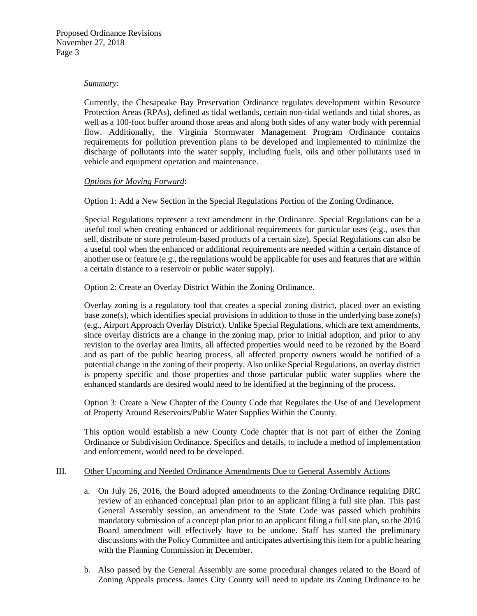#### *Summary*:

Currently, the Chesapeake Bay Preservation Ordinance regulates development within Resource Protection Areas (RPAs), defined as tidal wetlands, certain non-tidal wetlands and tidal shores, as well as a 100-foot buffer around those areas and along both sides of any water body with perennial flow. Additionally, the Virginia Stormwater Management Program Ordinance contains requirements for pollution prevention plans to be developed and implemented to minimize the discharge of pollutants into the water supply, including fuels, oils and other pollutants used in vehicle and equipment operation and maintenance.

#### *Options for Moving Forward*:

Option 1: Add a New Section in the Special Regulations Portion of the Zoning Ordinance.

Special Regulations represent a text amendment in the Ordinance. Special Regulations can be a useful tool when creating enhanced or additional requirements for particular uses (e.g., uses that sell, distribute or store petroleum-based products of a certain size). Special Regulations can also be a useful tool when the enhanced or additional requirements are needed within a certain distance of another use or feature (e.g., the regulations would be applicable for uses and features that are within a certain distance to a reservoir or public water supply).

Option 2: Create an Overlay District Within the Zoning Ordinance.

Overlay zoning is a regulatory tool that creates a special zoning district, placed over an existing base zone(s), which identifies special provisions in addition to those in the underlying base zone(s) (e.g., Airport Approach Overlay District). Unlike Special Regulations, which are text amendments, since overlay districts are a change in the zoning map, prior to initial adoption, and prior to any revision to the overlay area limits, all affected properties would need to be rezoned by the Board and as part of the public hearing process, all affected property owners would be notified of a potential change in the zoning of their property. Also unlike Special Regulations, an overlay district is property specific and those properties and those particular public water supplies where the enhanced standards are desired would need to be identified at the beginning of the process.

Option 3: Create a New Chapter of the County Code that Regulates the Use of and Development of Property Around Reservoirs/Public Water Supplies Within the County.

This option would establish a new County Code chapter that is not part of either the Zoning Ordinance or Subdivision Ordinance. Specifics and details, to include a method of implementation and enforcement, would need to be developed.

#### III. Other Upcoming and Needed Ordinance Amendments Due to General Assembly Actions

- a. On July 26, 2016, the Board adopted amendments to the Zoning Ordinance requiring DRC review of an enhanced conceptual plan prior to an applicant filing a full site plan. This past General Assembly session, an amendment to the State Code was passed which prohibits mandatory submission of a concept plan prior to an applicant filing a full site plan, so the 2016 Board amendment will effectively have to be undone. Staff has started the preliminary discussions with the Policy Committee and anticipates advertising this item for a public hearing with the Planning Commission in December.
- b. Also passed by the General Assembly are some procedural changes related to the Board of Zoning Appeals process. James City County will need to update its Zoning Ordinance to be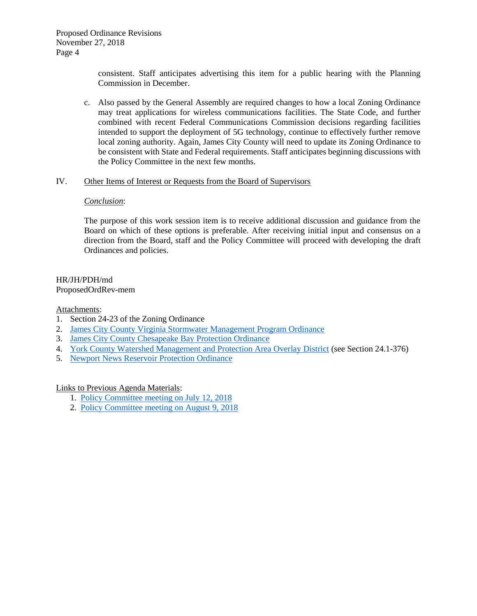consistent. Staff anticipates advertising this item for a public hearing with the Planning Commission in December.

- c. Also passed by the General Assembly are required changes to how a local Zoning Ordinance may treat applications for wireless communications facilities. The State Code, and further combined with recent Federal Communications Commission decisions regarding facilities intended to support the deployment of 5G technology, continue to effectively further remove local zoning authority. Again, James City County will need to update its Zoning Ordinance to be consistent with State and Federal requirements. Staff anticipates beginning discussions with the Policy Committee in the next few months.
- IV. Other Items of Interest or Requests from the Board of Supervisors

#### *Conclusion*:

The purpose of this work session item is to receive additional discussion and guidance from the Board on which of these options is preferable. After receiving initial input and consensus on a direction from the Board, staff and the Policy Committee will proceed with developing the draft Ordinances and policies.

#### HR/JH/PDH/md ProposedOrdRev-mem

#### Attachments:

- 1. Section 24-23 of the Zoning Ordinance
- 2. [James City County Virginia Stormwater Management Program Ordinance](https://library.municode.com/va/james_city_county/codes/code_of_ordinances?nodeId=CD_ORD_CH18ASTMA)
- 3. [James City County Chesapeake Bay Protection Ordinance](https://library.municode.com/va/james_city_county/codes/code_of_ordinances?nodeId=CD_ORD_CH23CHBAPR)
- 4. [York County Watershed Management and Protection Area Overlay District](https://www.yorkcounty.gov/DocumentCenter/View/2073/County-Code?bidId=#page=500) (see Section 24.1-376)
- 5. [Newport News Reservoir Protection Ordinance](https://library.municode.com/va/newport_news/codes/code_of_ordinances?nodeId=CD_ORD_CH42WASU_ARTVREPR)

#### Links to Previous Agenda Materials:

- 1. [Policy Committee meeting on July 12, 2018](https://jamescity.novusagenda.com/AgendaPublic/MeetingView.aspx?MeetingID=380&MinutesMeetingID=799&doctype=Agenda)
- 2. [Policy Committee meeting on August 9, 2018](https://jamescity.novusagenda.com/AgendaPublic/MeetingView.aspx?MeetingID=381&MinutesMeetingID=817&doctype=Agenda)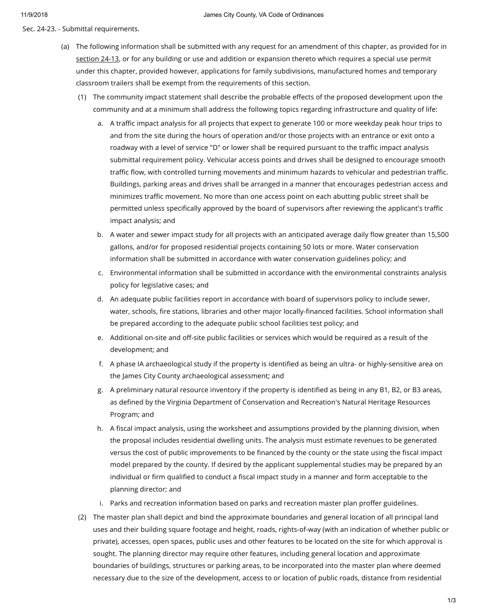Sec. 24-23. - Submittal requirements.

- (a) The following information shall be submitted with any request for an amendment of this chapter, as provided for in [section](https://library.municode.com/) 24-13, or for any building or use and addition or expansion thereto which requires a special use permit under this chapter, provided however, applications for family subdivisions, manufactured homes and temporary classroom trailers shall be exempt from the requirements of this section.
	- (1) The community impact statement shall describe the probable effects of the proposed development upon the community and at a minimum shall address the following topics regarding infrastructure and quality of life:
		- a. A traffic impact analysis for all projects that expect to generate 100 or more weekday peak hour trips to and from the site during the hours of operation and/or those projects with an entrance or exit onto a roadway with a level of service "D" or lower shall be required pursuant to the traffic impact analysis submittal requirement policy. Vehicular access points and drives shall be designed to encourage smooth traffic flow, with controlled turning movements and minimum hazards to vehicular and pedestrian traffic. Buildings, parking areas and drives shall be arranged in a manner that encourages pedestrian access and minimizes traffic movement. No more than one access point on each abutting public street shall be permitted unless specifically approved by the board of supervisors after reviewing the applicant's traffic impact analysis; and
		- b. A water and sewer impact study for all projects with an anticipated average daily flow greater than 15,500 gallons, and/or for proposed residential projects containing 50 lots or more. Water conservation information shall be submitted in accordance with water conservation guidelines policy; and
		- c. Environmental information shall be submitted in accordance with the environmental constraints analysis policy for legislative cases; and
		- d. An adequate public facilities report in accordance with board of supervisors policy to include sewer, water, schools, fire stations, libraries and other major locally-financed facilities. School information shall be prepared according to the adequate public school facilities test policy; and
		- e. Additional on-site and off-site public facilities or services which would be required as a result of the development; and
		- f. A phase IA archaeological study if the property is identified as being an ultra- or highly-sensitive area on the James City County archaeological assessment; and
		- g. A preliminary natural resource inventory if the property is identified as being in any B1, B2, or B3 areas, as defined by the Virginia Department of Conservation and Recreation's Natural Heritage Resources Program; and
		- h. A fiscal impact analysis, using the worksheet and assumptions provided by the planning division, when ' the proposal includes residential dwelling units. The analysis must estimate revenues to be generated versus the cost of public improvements to be financed by the county or the state using the fiscal impact model prepared by the county. If desired by the applicant supplemental studies may be prepared by an individual or firm qualified to conduct a fiscal impact study in a manner and form acceptable to the planning director; and
		- i. Parks and recreation information based on parks and recreation master plan proffer guidelines.
	- (2) The master plan shall depict and bind the approximate boundaries and general location of all principal land uses and their building square footage and height, roads, rights-of-way (with an indication of whether public or private), accesses, open spaces, public uses and other features to be located on the site for which approval is sought. The planning director may require other features, including general location and approximate boundaries of buildings, structures or parking areas, to be incorporated into the master plan where deemed necessary due to the size of the development, access to or location of public roads, distance from residential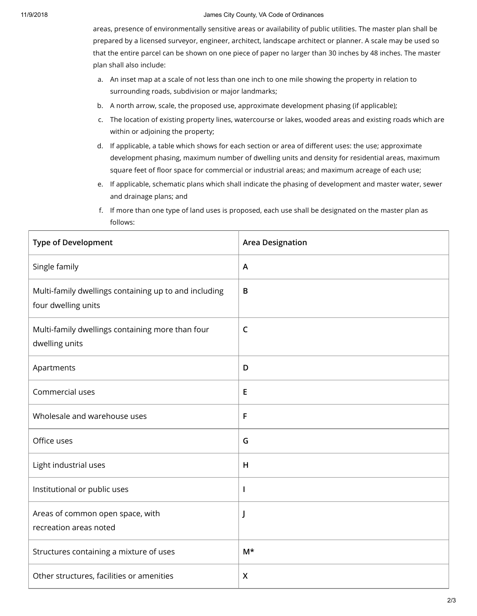#### 11/9/2018 James City County, VA Code of Ordinances

areas, presence of environmentally sensitive areas or availability of public utilities. The master plan shall be prepared by a licensed surveyor, engineer, architect, landscape architect or planner. A scale may be used so that the entire parcel can be shown on one piece of paper no larger than 30 inches by 48 inches. The master plan shall also include:

- a. An inset map at a scale of not less than one inch to one mile showing the property in relation to surrounding roads, subdivision or major landmarks;
- b. A north arrow, scale, the proposed use, approximate development phasing (if applicable);
- c. The location of existing property lines, watercourse or lakes, wooded areas and existing roads which are within or adjoining the property;
- d. If applicable, a table which shows for each section or area of different uses: the use; approximate development phasing, maximum number of dwelling units and density for residential areas, maximum square feet of floor space for commercial or industrial areas; and maximum acreage of each use;
- e. If applicable, schematic plans which shall indicate the phasing of development and master water, sewer and drainage plans; and
- f. If more than one type of land uses is proposed, each use shall be designated on the master plan as follows:

| <b>Type of Development</b>                                                   | <b>Area Designation</b>                                                                                                                                                                                                                                                                                                                                                          |
|------------------------------------------------------------------------------|----------------------------------------------------------------------------------------------------------------------------------------------------------------------------------------------------------------------------------------------------------------------------------------------------------------------------------------------------------------------------------|
| Single family                                                                | A                                                                                                                                                                                                                                                                                                                                                                                |
| Multi-family dwellings containing up to and including<br>four dwelling units | $\mathsf B$                                                                                                                                                                                                                                                                                                                                                                      |
| Multi-family dwellings containing more than four<br>dwelling units           | $\mathsf{C}$                                                                                                                                                                                                                                                                                                                                                                     |
| Apartments                                                                   | D                                                                                                                                                                                                                                                                                                                                                                                |
| Commercial uses                                                              | E                                                                                                                                                                                                                                                                                                                                                                                |
| Wholesale and warehouse uses                                                 | F                                                                                                                                                                                                                                                                                                                                                                                |
| Office uses                                                                  | G                                                                                                                                                                                                                                                                                                                                                                                |
| Light industrial uses                                                        | H                                                                                                                                                                                                                                                                                                                                                                                |
| Institutional or public uses                                                 | $\begin{array}{c} \rule{0pt}{2.5ex} \rule{0pt}{2.5ex} \rule{0pt}{2.5ex} \rule{0pt}{2.5ex} \rule{0pt}{2.5ex} \rule{0pt}{2.5ex} \rule{0pt}{2.5ex} \rule{0pt}{2.5ex} \rule{0pt}{2.5ex} \rule{0pt}{2.5ex} \rule{0pt}{2.5ex} \rule{0pt}{2.5ex} \rule{0pt}{2.5ex} \rule{0pt}{2.5ex} \rule{0pt}{2.5ex} \rule{0pt}{2.5ex} \rule{0pt}{2.5ex} \rule{0pt}{2.5ex} \rule{0pt}{2.5ex} \rule{0$ |
| Areas of common open space, with<br>recreation areas noted                   | J                                                                                                                                                                                                                                                                                                                                                                                |
| Structures containing a mixture of uses                                      | $M^*$                                                                                                                                                                                                                                                                                                                                                                            |
| Other structures, facilities or amenities                                    | $\boldsymbol{\mathsf{X}}$                                                                                                                                                                                                                                                                                                                                                        |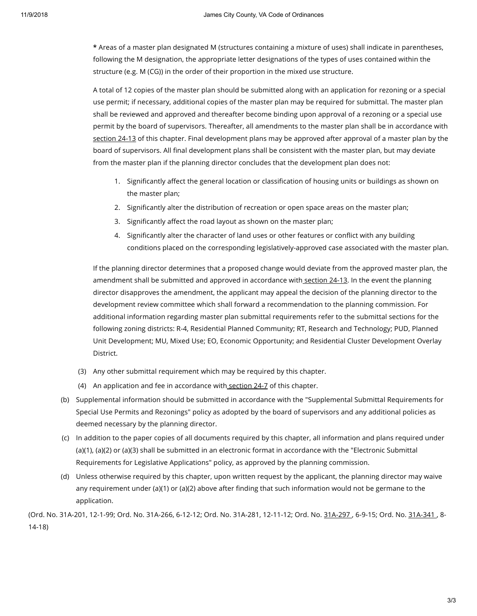**\*** Areas of a master plan designated M (structures containing a mixture of uses) shall indicate in parentheses, following the M designation, the appropriate letter designations of the types of uses contained within the structure (e.g. M (CG)) in the order of their proportion in the mixed use structure.

A total of 12 copies of the master plan should be submitted along with an application for rezoning or a special use permit; if necessary, additional copies of the master plan may be required for submittal. The master plan shall be reviewed and approved and thereafter become binding upon approval of a rezoning or a special use permit by the board of supervisors. Thereafter, all amendments to the master plan shall be in accordance with [section](https://library.municode.com/) 24-13 of this chapter. Final development plans may be approved after approval of a master plan by the board of supervisors. All final development plans shall be consistent with the master plan, but may deviate from the master plan if the planning director concludes that the development plan does not:

- 1. Significantly affect the general location or classification of housing units or buildings as shown on the master plan;
- 2. Significantly alter the distribution of recreation or open space areas on the master plan;
- 3. Significantly affect the road layout as shown on the master plan;
- 4. Significantly alter the character of land uses or other features or conflict with any building conditions placed on the corresponding legislatively-approved case associated with the master plan.

If the planning director determines that a proposed change would deviate from the approved master plan, the amendment shall be submitted and approved in accordance with [section](https://library.municode.com/) 24-13. In the event the planning director disapproves the amendment, the applicant may appeal the decision of the planning director to the development review committee which shall forward a recommendation to the planning commission. For additional information regarding master plan submittal requirements refer to the submittal sections for the following zoning districts: R-4, Residential Planned Community; RT, Research and Technology; PUD, Planned Unit Development; MU, Mixed Use; EO, Economic Opportunity; and Residential Cluster Development Overlay District.

- (3) Any other submittal requirement which may be required by this chapter.
- (4) An application and fee in accordance with [section](https://library.municode.com/) 24-7 of this chapter.
- (b) Supplemental information should be submitted in accordance with the "Supplemental Submittal Requirements for Special Use Permits and Rezonings" policy as adopted by the board of supervisors and any additional policies as deemed necessary by the planning director.
- (c) In addition to the paper copies of all documents required by this chapter, all information and plans required under (a)(1), (a)(2) or (a)(3) shall be submitted in an electronic format in accordance with the "Electronic Submittal Requirements for Legislative Applications" policy, as approved by the planning commission.
- (d) Unless otherwise required by this chapter, upon written request by the applicant, the planning director may waive any requirement under (a)(1) or (a)(2) above after finding that such information would not be germane to the application.

(Ord. No. 31A-201, 12-1-99; Ord. No. 31A-266, 6-12-12; Ord. No. 31A-281, 12-11-12; Ord. No. [31A-297](https://library.municode.com/), 6-9-15; Ord. No. [31A-341](https://library.municode.com/), 8-14-18)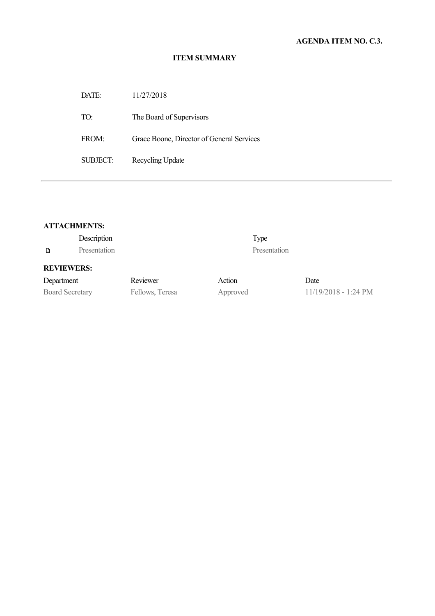#### **ITEM SUMMARY**

| DATE:                | 11/27/2018                                |
|----------------------|-------------------------------------------|
| TO:                  | The Board of Supervisors                  |
| $FROM+$              | Grace Boone, Director of General Services |
| SUBJECT <sup>.</sup> | Recycling Update                          |

#### **ATTACHMENTS:**

|                        | Description  |                 |          | Type         |                        |
|------------------------|--------------|-----------------|----------|--------------|------------------------|
| D                      | Presentation |                 |          | Presentation |                        |
| <b>REVIEWERS:</b>      |              |                 |          |              |                        |
| Department             |              | Reviewer        | Action   |              | Date                   |
| <b>Board Secretary</b> |              | Fellows, Teresa | Approved |              | $11/19/2018 - 1:24$ PM |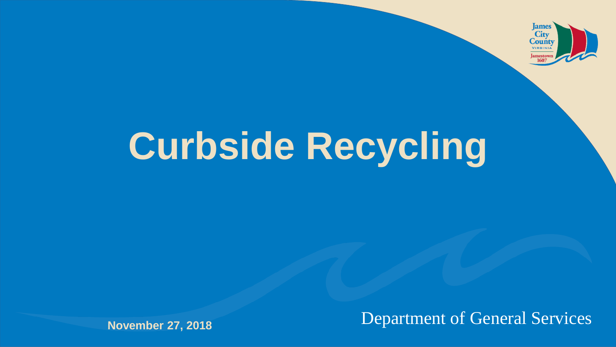

# **Curbside Recycling**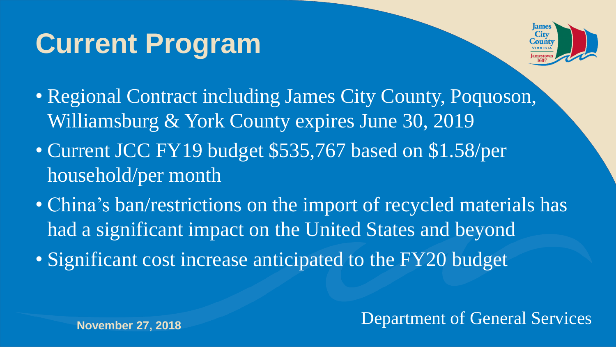## **Current Program**



- Regional Contract including James City County, Poquoson, Williamsburg & York County expires June 30, 2019
- Current JCC FY19 budget \$535,767 based on \$1.58/per household/per month
- China's ban/restrictions on the import of recycled materials has had a significant impact on the United States and beyond
- Significant cost increase anticipated to the FY20 budget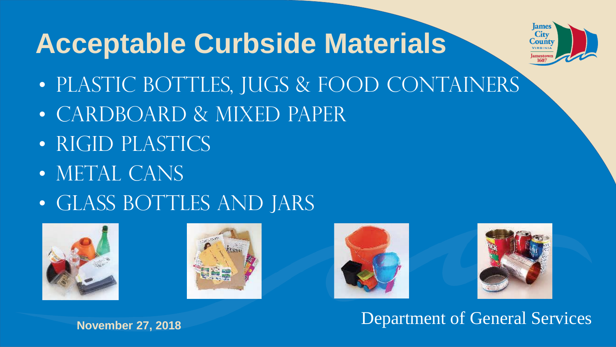### **Acceptable Curbside Materials**



- PLASTIC BOTTLES, JUGS & FOOD CONTAINERS
- CARDBOARD & MIXED PAPER
- RIGID PLASTICS
- METAL CANS
- GLASS BOTTLES AND JARS







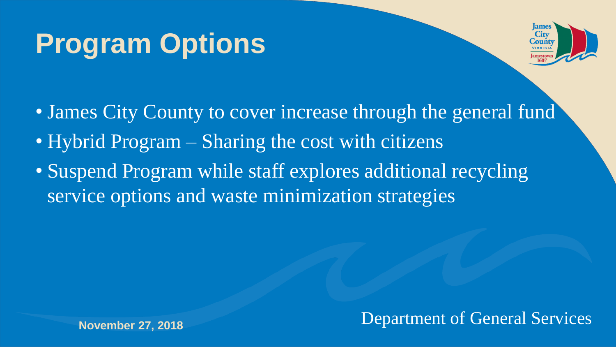## **Program Options**



- James City County to cover increase through the general fund
- Hybrid Program Sharing the cost with citizens
- Suspend Program while staff explores additional recycling service options and waste minimization strategies

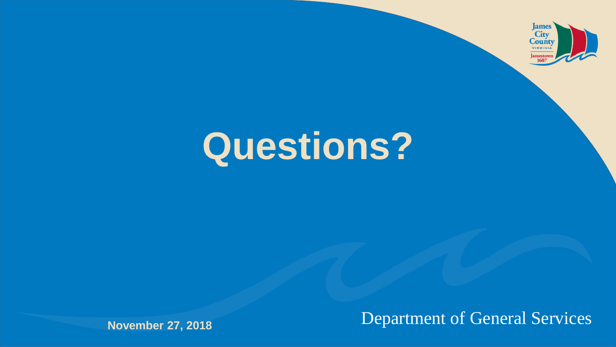

## **Questions?**